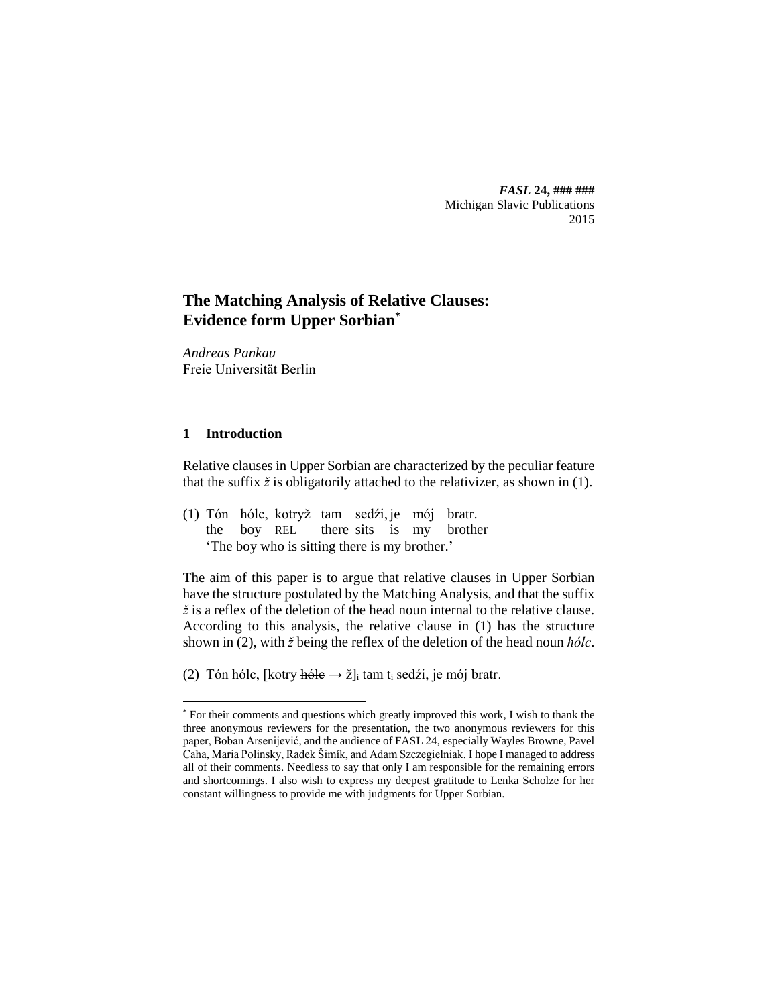*FASL* **24, ### ###** Michigan Slavic Publications 2015

# **The Matching Analysis of Relative Clauses: Evidence form Upper Sorbian\***

*Andreas Pankau* Freie Universität Berlin

## **1 Introduction**

 $\overline{a}$ 

Relative clauses in Upper Sorbian are characterized by the peculiar feature that the suffix  $\zeta$  is obligatorily attached to the relativizer, as shown in (1).

(1) Tón hólc, kotryž tam sedźi, je mój bratr. the boy REL there sits is my brother 'The boy who is sitting there is my brother.'

The aim of this paper is to argue that relative clauses in Upper Sorbian have the structure postulated by the Matching Analysis, and that the suffix *ž* is a reflex of the deletion of the head noun internal to the relative clause. According to this analysis, the relative clause in (1) has the structure shown in (2), with *ž* being the reflex of the deletion of the head noun *hólc*.

(2) Tón hólc, [kotry hóle  $\rightarrow$  ž]<sub>i</sub> tam t<sub>i</sub> sedźi, je mój bratr.

<sup>\*</sup> For their comments and questions which greatly improved this work, I wish to thank the three anonymous reviewers for the presentation, the two anonymous reviewers for this paper, Boban Arsenijević, and the audience of FASL 24, especially Wayles Browne, Pavel Caha, Maria Polinsky, Radek Šimík, and Adam Szczegielniak. I hope I managed to address all of their comments. Needless to say that only I am responsible for the remaining errors and shortcomings. I also wish to express my deepest gratitude to Lenka Scholze for her constant willingness to provide me with judgments for Upper Sorbian.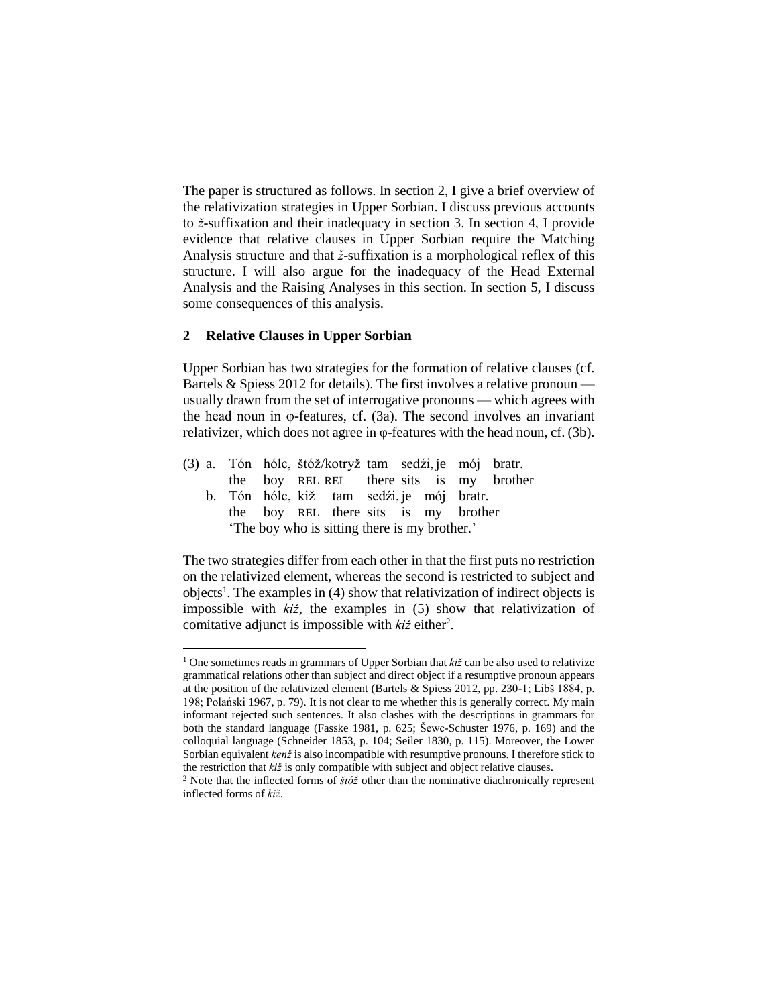The paper is structured as follows. In section 2, I give a brief overview of the relativization strategies in Upper Sorbian. I discuss previous accounts to *ž*-suffixation and their inadequacy in section 3. In section 4, I provide evidence that relative clauses in Upper Sorbian require the Matching Analysis structure and that *ž*-suffixation is a morphological reflex of this structure. I will also argue for the inadequacy of the Head External Analysis and the Raising Analyses in this section. In section 5, I discuss some consequences of this analysis.

### **2 Relative Clauses in Upper Sorbian**

 $\overline{\phantom{a}}$ 

Upper Sorbian has two strategies for the formation of relative clauses (cf. Bartels & Spiess 2012 for details). The first involves a relative pronoun usually drawn from the set of interrogative pronouns — which agrees with the head noun in φ-features, cf. (3a). The second involves an invariant relativizer, which does not agree in φ-features with the head noun, cf. (3b).

|  |  | (3) a. Tón hólc, štóž/kotryž tam sedźi, je mój bratr. |  |  |                                          |
|--|--|-------------------------------------------------------|--|--|------------------------------------------|
|  |  |                                                       |  |  | the boy REL REL there sits is my brother |
|  |  | b. Tón hólc, kiž tam sedźi, je mój bratr.             |  |  |                                          |
|  |  | the boy REL there sits is my brother                  |  |  |                                          |
|  |  | 'The boy who is sitting there is my brother.'         |  |  |                                          |

The two strategies differ from each other in that the first puts no restriction on the relativized element, whereas the second is restricted to subject and objects<sup>1</sup>. The examples in (4) show that relativization of indirect objects is impossible with *kiž*, the examples in (5) show that relativization of comitative adjunct is impossible with  $ki\ddot{z}$  either<sup>2</sup>.

<sup>&</sup>lt;sup>1</sup> One sometimes reads in grammars of Upper Sorbian that *kiž* can be also used to relativize grammatical relations other than subject and direct object if a resumptive pronoun appears at the position of the relativized element (Bartels & Spiess 2012, pp. 230-1; Libš 1884, p. 198; Polański 1967, p. 79). It is not clear to me whether this is generally correct. My main informant rejected such sentences. It also clashes with the descriptions in grammars for both the standard language (Fasske 1981, p. 625; Šewc-Schuster 1976, p. 169) and the colloquial language (Schneider 1853, p. 104; Seiler 1830, p. 115). Moreover, the Lower Sorbian equivalent *kenž* is also incompatible with resumptive pronouns. I therefore stick to the restriction that *kiž* is only compatible with subject and object relative clauses.

<sup>2</sup> Note that the inflected forms of *štóž* other than the nominative diachronically represent inflected forms of *kiž*.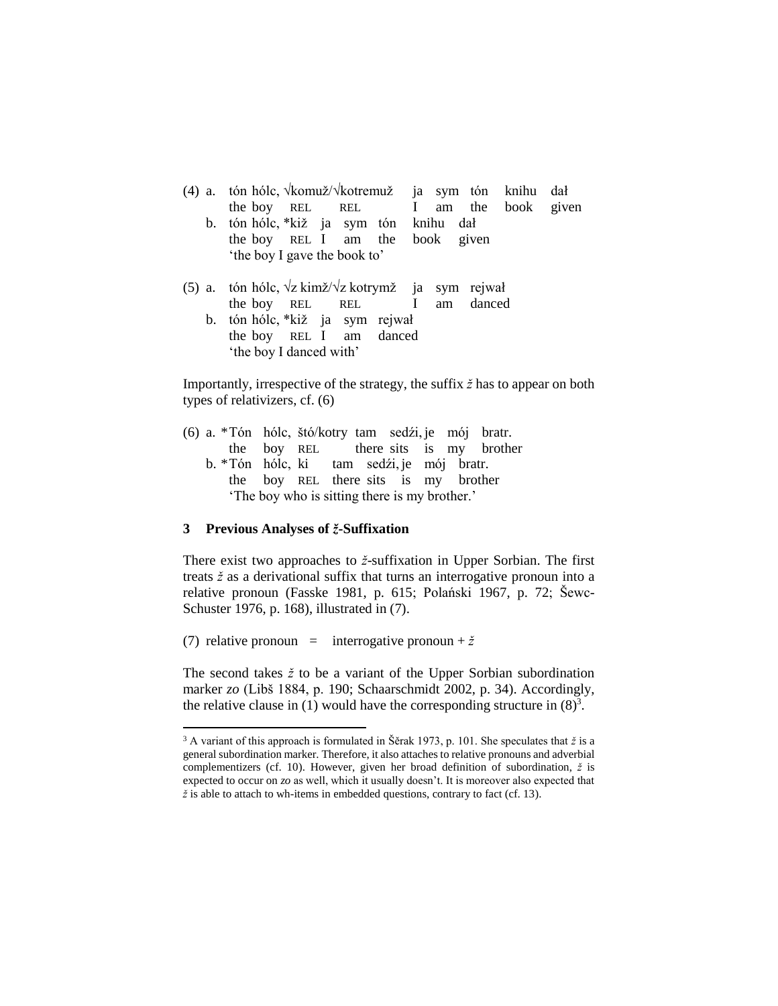|                | (4) a. tón hólc, <i>\komuž</i> /\ <i>kotremuž</i> ja sym tón knihu dał<br>the boy REL REL I am the book given |  |
|----------------|---------------------------------------------------------------------------------------------------------------|--|
| $\mathbf{b}$ . | tón hólc, *kiž ja sym tón knihu dał                                                                           |  |
|                | the boy REL I am the book given<br>'the boy I gave the book to'                                               |  |
|                | (5) a. tón hólc, $\sqrt{z}$ kimž/ $\sqrt{z}$ kotrymž ja sym rejwał<br>the boy REL REL I am danced             |  |
| $\mathbf{b}$ . | tón hólc, *kiž ja sym rejwał                                                                                  |  |
|                | the boy REL I am danced                                                                                       |  |
|                | 'the boy I danced with'                                                                                       |  |

Importantly, irrespective of the strategy, the suffix *ž* has to appear on both types of relativizers, cf. (6)

(6) a. \*Tón hólc, štó/kotry tam sedźi, je mój bratr. the boy REL there sits is my brother b. \*Tón hólc, ki tam sedźi, je mój bratr. the boy REL there sits is my brother 'The boy who is sitting there is my brother.'

#### **3 Previous Analyses of** *ž***-Suffixation**

l

There exist two approaches to *ž*-suffixation in Upper Sorbian. The first treats *ž* as a derivational suffix that turns an interrogative pronoun into a relative pronoun (Fasske 1981, p. 615; Polański 1967, p. 72; Šewc-Schuster 1976, p. 168), illustrated in (7).

(7) relative pronoun = interrogative pronoun +  $\check{z}$ 

The second takes *ž* to be a variant of the Upper Sorbian subordination marker *zo* (Libš 1884, p. 190; Schaarschmidt 2002, p. 34). Accordingly, the relative clause in (1) would have the corresponding structure in  $(8)^3$ .

<sup>3</sup> A variant of this approach is formulated in Šěrak 1973, p. 101. She speculates that *ž* is a general subordination marker. Therefore, it also attaches to relative pronouns and adverbial complementizers (cf. 10). However, given her broad definition of subordination, *ž* is expected to occur on *zo* as well, which it usually doesn't. It is moreover also expected that *ž* is able to attach to wh-items in embedded questions, contrary to fact (cf. 13).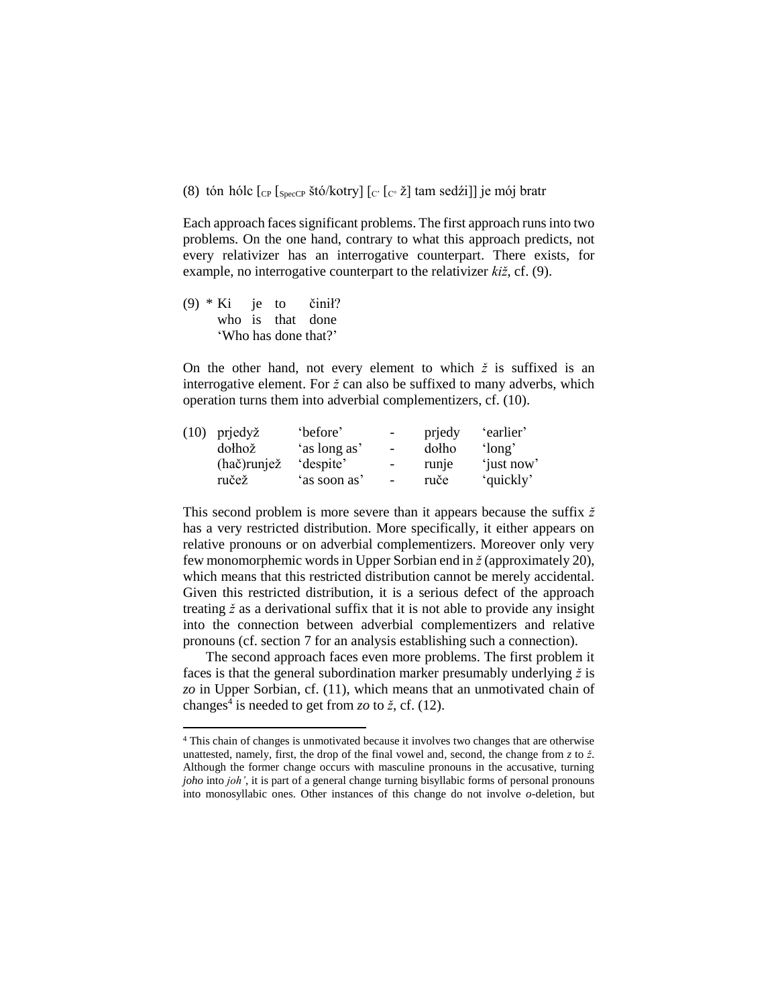(8) tón hólc  $\lbrack$  [CP  $\lbrack$  [SpecCP štó/kotry]  $\lbrack$  [C<sup>o</sup>  $\lbrack$  [C<sup>o</sup>  $\lbrack$   $\lbrack$  [c<sup>o</sup>  $\lbrack$   $\lbrack$  am sedźi]] je mój bratr

Each approach faces significant problems. The first approach runs into two problems. On the one hand, contrary to what this approach predicts, not every relativizer has an interrogative counterpart. There exists, for example, no interrogative counterpart to the relativizer *kiž*, cf. (9).

(9) \* Ki je to činił? who is that done 'Who has done that?'

l

On the other hand, not every element to which  $\zeta$  is suffixed is an interrogative element. For *ž* can also be suffixed to many adverbs, which operation turns them into adverbial complementizers, cf. (10).

| prjedyž     | 'before'     | $-$                      | prjedy | 'earlier'  |
|-------------|--------------|--------------------------|--------|------------|
| dołhož      |              | $\overline{\phantom{a}}$ | dolho  | 'long'     |
| (hač)runjež | 'despite'    | $\overline{\phantom{a}}$ | runje  | 'just now' |
| ručež       | 'as soon as' | $\overline{\phantom{a}}$ | ruče   | 'quickly'  |
|             |              | 'as long as'             |        |            |

This second problem is more severe than it appears because the suffix *ž* has a very restricted distribution. More specifically, it either appears on relative pronouns or on adverbial complementizers. Moreover only very few monomorphemic words in Upper Sorbian end in *ž* (approximately 20), which means that this restricted distribution cannot be merely accidental. Given this restricted distribution, it is a serious defect of the approach treating *ž* as a derivational suffix that it is not able to provide any insight into the connection between adverbial complementizers and relative pronouns (cf. section 7 for an analysis establishing such a connection).

The second approach faces even more problems. The first problem it faces is that the general subordination marker presumably underlying *ž* is *zo* in Upper Sorbian, cf. (11), which means that an unmotivated chain of changes<sup>4</sup> is needed to get from  $zo$  to  $\check{z}$ , cf. (12).

<sup>4</sup> This chain of changes is unmotivated because it involves two changes that are otherwise unattested, namely, first, the drop of the final vowel and, second, the change from *z* to *ž*. Although the former change occurs with masculine pronouns in the accusative, turning *joho* into *joh'*, it is part of a general change turning bisyllabic forms of personal pronouns into monosyllabic ones. Other instances of this change do not involve *o*-deletion, but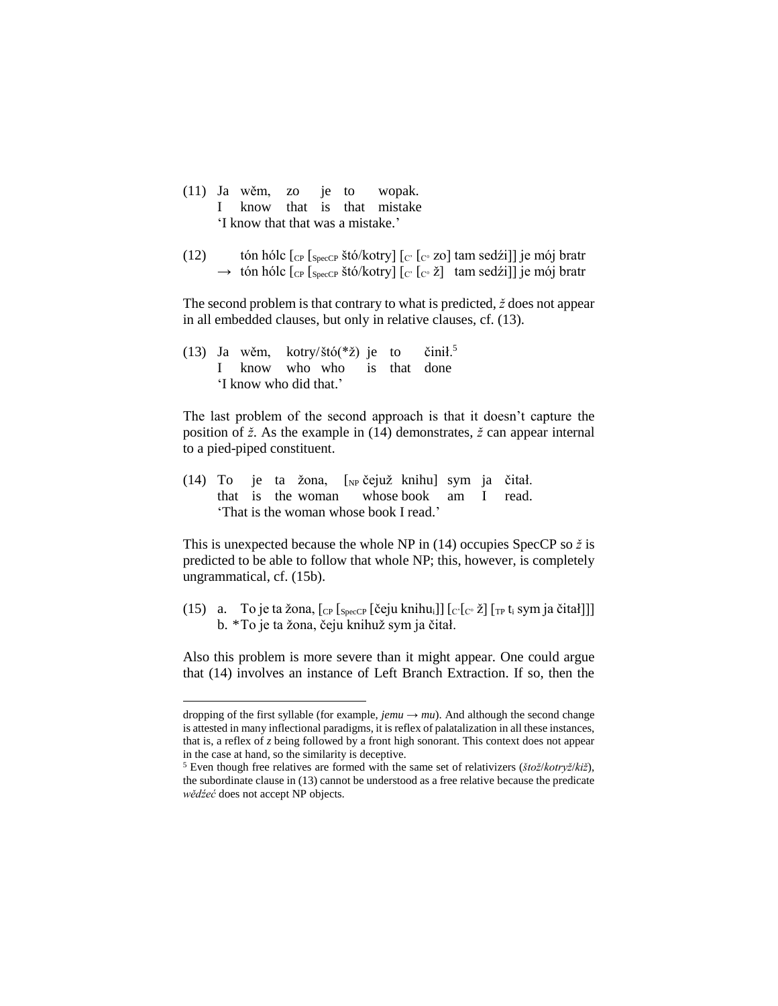- (11) Ja wěm, zo je to wopak. I know that is that mistake 'I know that that was a mistake.'
- (12) tón hólc  $\lbrack \text{c}_{\text{P}} \rbrack_{\text{SpecCP}}$  štó/kotry]  $\lbrack \text{c}_{\text{P}} \rbrack_{\text{C}^{\circ}}$  zo] tam sedźi]] je mój bratr  $\rightarrow$  tón hólc  $_{\rm{[CP]}}$   $_{\rm{SpecCP}}$  štó/kotry]  $_{\rm{[C^c]}}$   $_{\rm{[C^c]}}$  tam sedźi]] je mój bratr

The second problem is that contrary to what is predicted, *ž* does not appear in all embedded clauses, but only in relative clauses, cf. (13).

(13) Ja wěm, kotry/štó(\*ž) je to činił.<sup>5</sup> I know who who is that done 'I know who did that.'

 $\overline{a}$ 

The last problem of the second approach is that it doesn't capture the position of *ž*. As the example in (14) demonstrates, *ž* can appear internal to a pied-piped constituent.

(14) To je ta žona, [NP čejuž knihu] sym ja čitał. that is the woman whose book am I read. 'That is the woman whose book I read.'

This is unexpected because the whole NP in (14) occupies SpecCP so *ž* is predicted to be able to follow that whole NP; this, however, is completely ungrammatical, cf. (15b).

(15) a. To je ta žona,  $\lceil_{CP} \rceil_{SpecCP}$  [čeju knihu<sub>i</sub>]]  $\lceil_{C} \rceil_{C^{\circ}}$  ž $\lceil_{TP} t_i$  sym ja čitał]]] b. \*To je ta žona, čeju knihuž sym ja čitał.

Also this problem is more severe than it might appear. One could argue that (14) involves an instance of Left Branch Extraction. If so, then the

dropping of the first syllable (for example,  $jemu \rightarrow mu$ ). And although the second change is attested in many inflectional paradigms, it is reflex of palatalization in all these instances, that is, a reflex of *z* being followed by a front high sonorant. This context does not appear in the case at hand, so the similarity is deceptive.

<sup>5</sup> Even though free relatives are formed with the same set of relativizers (*štož*/*kotryž*/*kiž*), the subordinate clause in (13) cannot be understood as a free relative because the predicate *wědźeć* does not accept NP objects.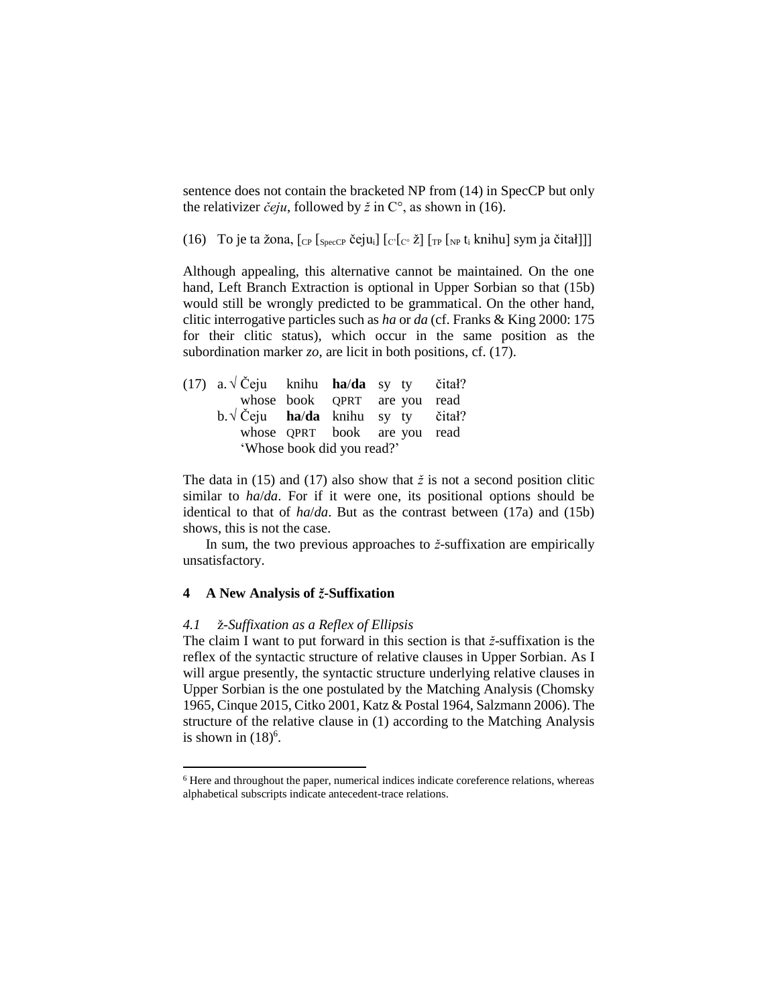sentence does not contain the bracketed NP from (14) in SpecCP but only the relativizer  $\check{c}eju$ , followed by  $\check{z}$  in  $C^{\circ}$ , as shown in (16).

(16) To je ta žona,  $\lceil_{CP} \rceil_{SpecCP}$  čeju<sub>i</sub>]  $\lceil_{C} \rceil_{C}$ <sup>o</sup> ž $\rceil$  $\lceil_{TP} \rceil_{NP}$  t<sub>i</sub> knihu] sym ja čitał]]]

Although appealing, this alternative cannot be maintained. On the one hand, Left Branch Extraction is optional in Upper Sorbian so that (15b) would still be wrongly predicted to be grammatical. On the other hand, clitic interrogative particles such as *ha* or *da* (cf. Franks & King 2000: 175 for their clitic status), which occur in the same position as the subordination marker *zo*, are licit in both positions, cf. (17).

| (17) a. $\sqrt{C}$ eju knihu <b>ha/da</b> sy ty čitał? |                            |                              |  |
|--------------------------------------------------------|----------------------------|------------------------------|--|
|                                                        |                            | whose book QPRT are you read |  |
| $b.\sqrt{C}$ eju ha/da knihu sy ty čitał?              |                            |                              |  |
|                                                        |                            | whose QPRT book are you read |  |
|                                                        | 'Whose book did you read?' |                              |  |

The data in (15) and (17) also show that  $\zeta$  is not a second position clitic similar to *ha*/*da*. For if it were one, its positional options should be identical to that of *ha*/*da*. But as the contrast between (17a) and (15b) shows, this is not the case.

In sum, the two previous approaches to *ž*-suffixation are empirically unsatisfactory.

## **4 A New Analysis of** *ž***-Suffixation**

l

#### *4.1* ž*-Suffixation as a Reflex of Ellipsis*

The claim I want to put forward in this section is that *ž*-suffixation is the reflex of the syntactic structure of relative clauses in Upper Sorbian. As I will argue presently, the syntactic structure underlying relative clauses in Upper Sorbian is the one postulated by the Matching Analysis (Chomsky 1965, Cinque 2015, Citko 2001, Katz & Postal 1964, Salzmann 2006). The structure of the relative clause in (1) according to the Matching Analysis is shown in  $(18)^6$ .

<sup>6</sup> Here and throughout the paper, numerical indices indicate coreference relations, whereas alphabetical subscripts indicate antecedent-trace relations.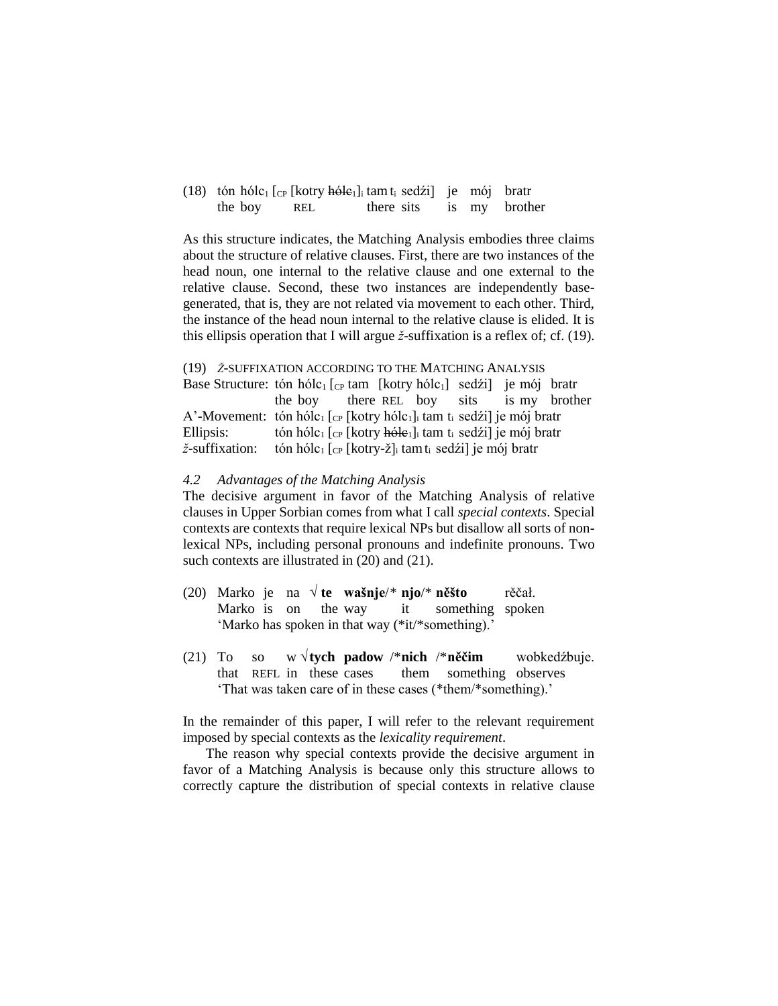|         |     | (18) tón hólc <sub>1</sub> [c <sub>P</sub> [kotry h <del>ólc</del> <sub>1</sub> ] tam t <sub>i</sub> sedźi] je mój bratr |  |  |
|---------|-----|--------------------------------------------------------------------------------------------------------------------------|--|--|
| the boy | REL | there sits is my brother                                                                                                 |  |  |

As this structure indicates, the Matching Analysis embodies three claims about the structure of relative clauses. First, there are two instances of the head noun, one internal to the relative clause and one external to the relative clause. Second, these two instances are independently basegenerated, that is, they are not related via movement to each other. Third, the instance of the head noun internal to the relative clause is elided. It is this ellipsis operation that I will argue *ž*-suffixation is a reflex of; cf. (19).

#### (19) *Ž*-SUFFIXATION ACCORDING TO THE MATCHING ANALYSIS

Base Structure: tón hólc<sub>1</sub>  $[$ <sub>CP</sub> tam  $[$ kotry hólc<sub>1</sub> $]$  sedźi $]$  je mój bratr the boy there REL boy sits is my brother A'-Movement: tón hólc<sub>1</sub>  $[$ <sub>CP</sub>  $[$ kotry hólc<sub>1</sub> $]$ <sub>i</sub> tam t<sub>i</sub> sedźi] je mój bratr Ellipsis: tón hólc<sub>1</sub>  $[$ c<sub>P</sub>  $[$ kotry <del>hólc</del><sub>1</sub> $]$ <sub>i</sub> tam t<sub>i</sub> sedźi] je mój bratr *ž*-suffixation: tón hólc<sub>1</sub> [<sub>CP</sub> [kotry-ž]<sub>i</sub> tamt<sub>i</sub> sedźi] je mój bratr

#### *4.2 Advantages of the Matching Analysis*

The decisive argument in favor of the Matching Analysis of relative clauses in Upper Sorbian comes from what I call *special contexts*. Special contexts are contexts that require lexical NPs but disallow all sorts of nonlexical NPs, including personal pronouns and indefinite pronouns. Two such contexts are illustrated in (20) and (21).

- (20) Marko je na √ **te wašnje**/\* **njo**/\* **něšto** rěčał. Marko is on the way it something spoken 'Marko has spoken in that way (\*it/\*something).'
- (21) To so w √**tych padow** /\***nich** /\***něčim** wobkedźbuje. that REFL in these cases them something observes 'That was taken care of in these cases (\*them/\*something).'

In the remainder of this paper, I will refer to the relevant requirement imposed by special contexts as the *lexicality requirement*.

The reason why special contexts provide the decisive argument in favor of a Matching Analysis is because only this structure allows to correctly capture the distribution of special contexts in relative clause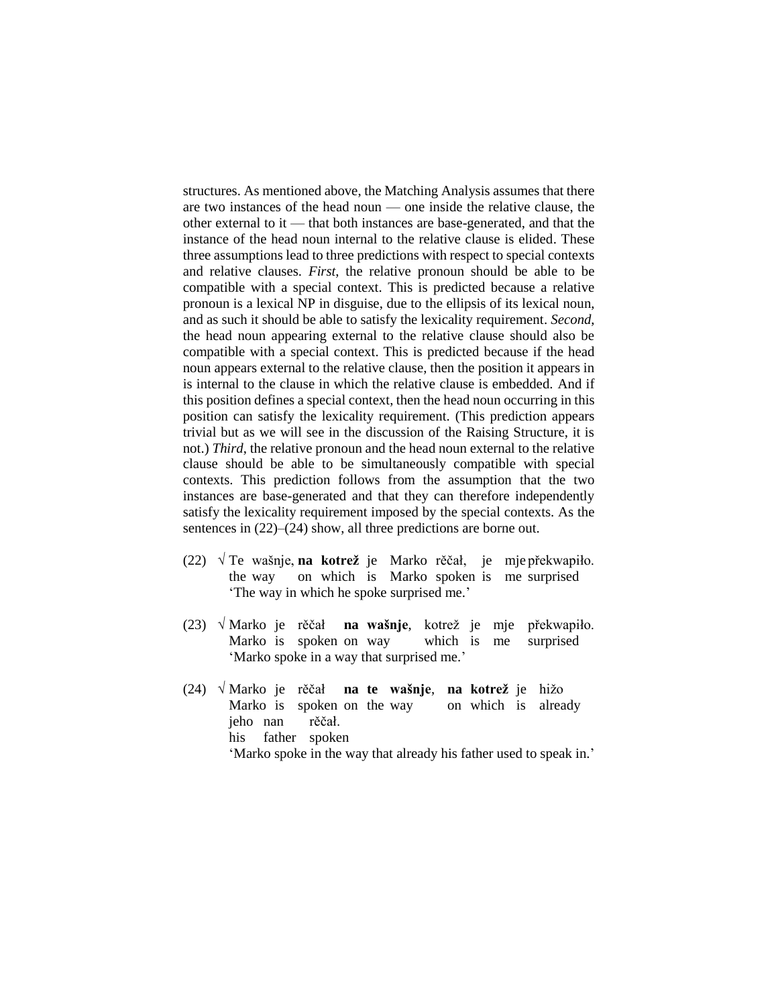structures. As mentioned above, the Matching Analysis assumes that there are two instances of the head noun — one inside the relative clause, the other external to it — that both instances are base-generated, and that the instance of the head noun internal to the relative clause is elided. These three assumptions lead to three predictions with respect to special contexts and relative clauses. *First*, the relative pronoun should be able to be compatible with a special context. This is predicted because a relative pronoun is a lexical NP in disguise, due to the ellipsis of its lexical noun, and as such it should be able to satisfy the lexicality requirement. *Second*, the head noun appearing external to the relative clause should also be compatible with a special context. This is predicted because if the head noun appears external to the relative clause, then the position it appears in is internal to the clause in which the relative clause is embedded. And if this position defines a special context, then the head noun occurring in this position can satisfy the lexicality requirement. (This prediction appears trivial but as we will see in the discussion of the Raising Structure, it is not.) *Third*, the relative pronoun and the head noun external to the relative clause should be able to be simultaneously compatible with special contexts. This prediction follows from the assumption that the two instances are base-generated and that they can therefore independently satisfy the lexicality requirement imposed by the special contexts. As the sentences in  $(22)$ – $(24)$  show, all three predictions are borne out.

- (22) √ Te wašnje, **na kotrež** je Marko rěčał, je mje překwapiło. the way on which is Marko spoken is me surprised 'The way in which he spoke surprised me.'
- (23) √ Marko je rěčał **na wašnje**, kotrež je mje překwapiło. Marko is spoken on way which is me surprised 'Marko spoke in a way that surprised me.'
- (24) √ Marko je rěčał **na te wašnje**, **na kotrež** je hižo Marko is spoken on the way on which is already jeho nan rěčał. his father spoken 'Marko spoke in the way that already his father used to speak in.'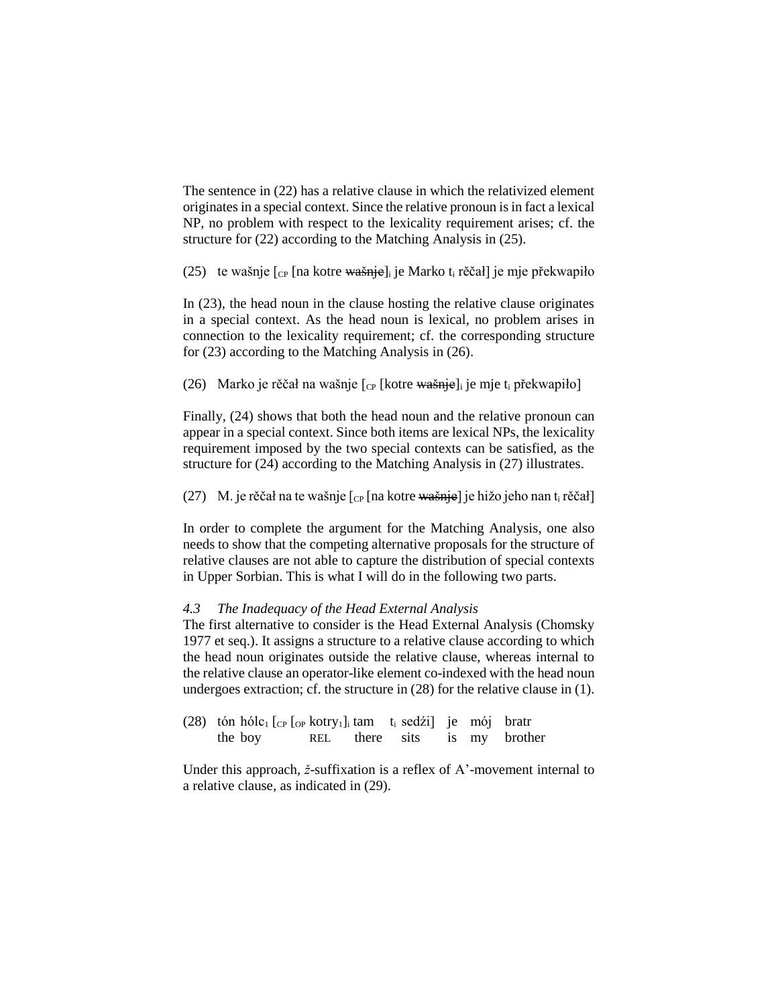The sentence in (22) has a relative clause in which the relativized element originates in a special context. Since the relative pronoun is in fact a lexical NP, no problem with respect to the lexicality requirement arises; cf. the structure for (22) according to the Matching Analysis in (25).

(25) te wašnje  $\lceil_{\text{CP}} \rceil$ na kotre wašnje]<sub>i</sub> je Marko t<sub>i</sub> rěčał] je mje překwapiło

In (23), the head noun in the clause hosting the relative clause originates in a special context. As the head noun is lexical, no problem arises in connection to the lexicality requirement; cf. the corresponding structure for (23) according to the Matching Analysis in (26).

(26) Marko je rěčał na wašnje  $\lbrack_{\text{CP}}$  [kotre wašnje]<sub>i</sub> je mje t<sub>i</sub> překwapiło]

Finally, (24) shows that both the head noun and the relative pronoun can appear in a special context. Since both items are lexical NPs, the lexicality requirement imposed by the two special contexts can be satisfied, as the structure for (24) according to the Matching Analysis in (27) illustrates.

(27) M. je rěčał na te wašnje  $\lceil_{\text{CP}} \rceil$  na kotre wašnje] je hižo jeho nan t<sub>i</sub> rěčał]

In order to complete the argument for the Matching Analysis, one also needs to show that the competing alternative proposals for the structure of relative clauses are not able to capture the distribution of special contexts in Upper Sorbian. This is what I will do in the following two parts.

## *4.3 The Inadequacy of the Head External Analysis*

The first alternative to consider is the Head External Analysis (Chomsky 1977 et seq.). It assigns a structure to a relative clause according to which the head noun originates outside the relative clause, whereas internal to the relative clause an operator-like element co-indexed with the head noun undergoes extraction; cf. the structure in (28) for the relative clause in (1).

(28) tón hólc<sub>1</sub> [<sub>CP</sub> [<sub>OP</sub> kotry<sub>1</sub>]<sub>i</sub> tam t<sub>i</sub> sedźi] je mój bratr the boy REL there sits is my brother

Under this approach, *ž*-suffixation is a reflex of A'-movement internal to a relative clause, as indicated in (29).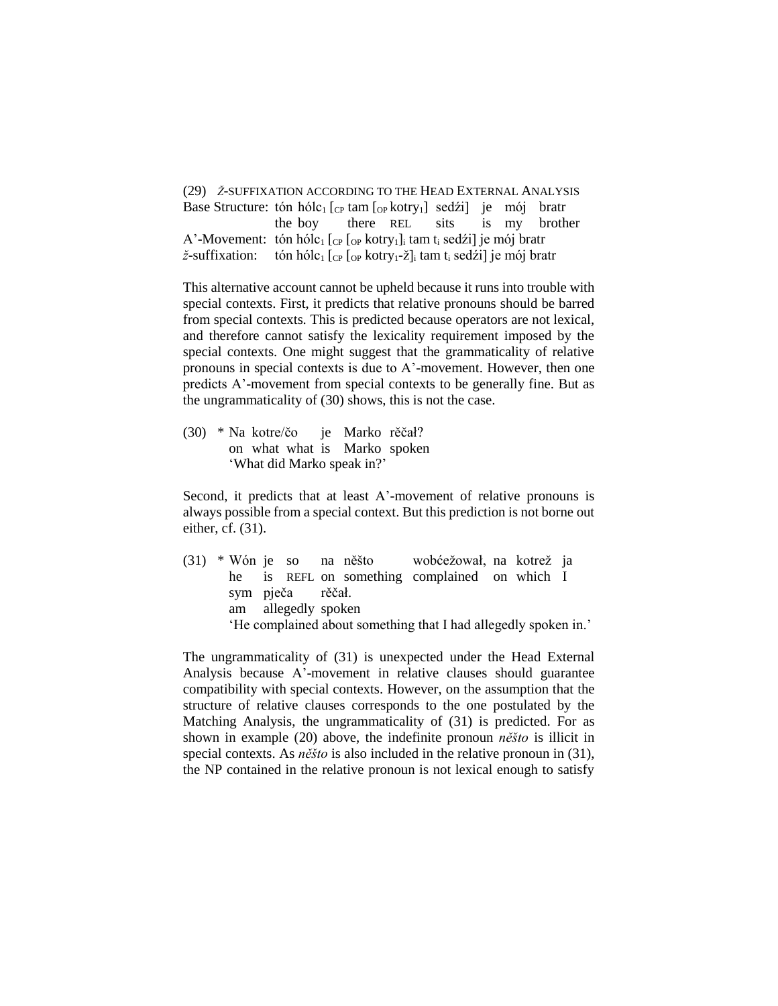(29) *Ž*-SUFFIXATION ACCORDING TO THE HEAD EXTERNAL ANALYSIS Base Structure: tón hólc<sub>1</sub>  $[$ <sub>CP</sub> tam  $[$ <sub>OP</sub> kotry<sub>1</sub> $]$  sedźi] je mój bratr the boy there REL sits is my brother A'-Movement: tón hólc<sub>1</sub> [cp [op kotry<sub>1</sub>]<sub>i</sub> tam t<sub>i</sub> sedźi] je mój bratr  $\check{z}$ -suffixation: tón hólc<sub>1</sub> [<sub>CP</sub> [<sub>OP</sub> kotry<sub>1</sub>-ž]<sub>i</sub> tam t<sub>i</sub> sedźi] je mój bratr

This alternative account cannot be upheld because it runs into trouble with special contexts. First, it predicts that relative pronouns should be barred from special contexts. This is predicted because operators are not lexical, and therefore cannot satisfy the lexicality requirement imposed by the special contexts. One might suggest that the grammaticality of relative pronouns in special contexts is due to A'-movement. However, then one predicts A'-movement from special contexts to be generally fine. But as the ungrammaticality of (30) shows, this is not the case.

(30) \* Na kotre/čo je Marko rěčał? on what what is Marko spoken 'What did Marko speak in?'

Second, it predicts that at least A'-movement of relative pronouns is always possible from a special context. But this prediction is not borne out either, cf. (31).

(31) \* Wón je so na něšto wobćežował, na kotrež ja he is REFL on something complained on which I sym pječa rěčał. am allegedly spoken 'He complained about something that I had allegedly spoken in.'

The ungrammaticality of (31) is unexpected under the Head External Analysis because A'-movement in relative clauses should guarantee compatibility with special contexts. However, on the assumption that the structure of relative clauses corresponds to the one postulated by the Matching Analysis, the ungrammaticality of (31) is predicted. For as shown in example (20) above, the indefinite pronoun *něšto* is illicit in special contexts. As *něšto* is also included in the relative pronoun in (31), the NP contained in the relative pronoun is not lexical enough to satisfy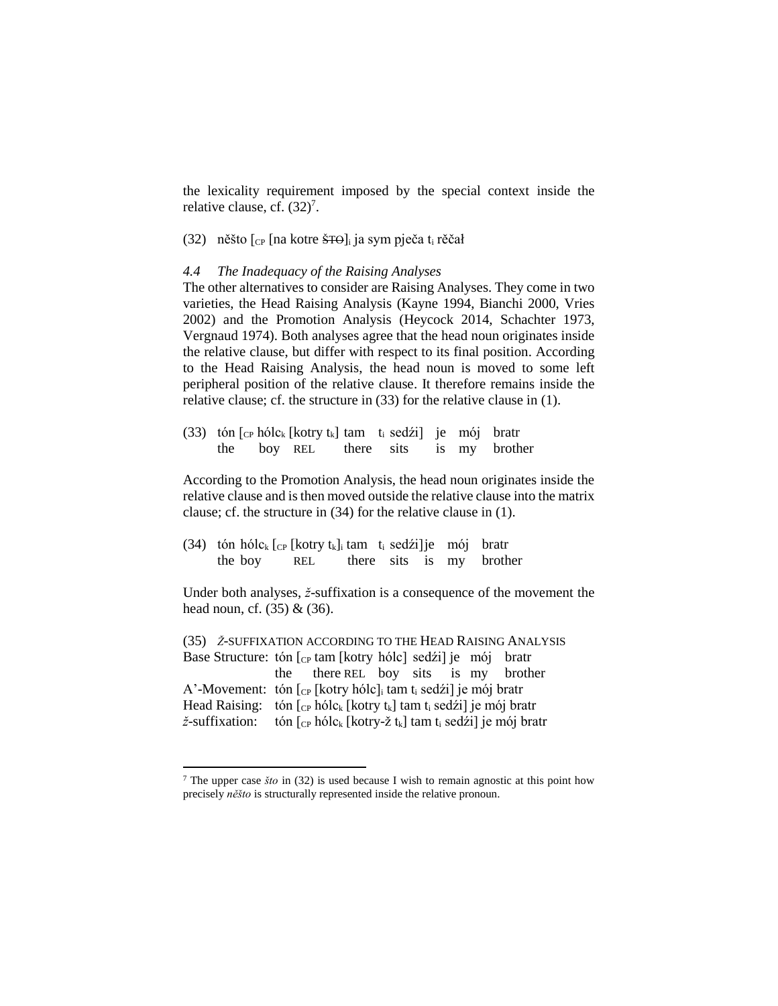the lexicality requirement imposed by the special context inside the relative clause, cf. (32)<sup>7</sup>.

(32) něšto  $\lceil_{CP} \rceil$ na kotre <del>ŠTO</del>]<sub>i</sub> ja sym pječa t<sub>i</sub> rěčał

### *4.4 The Inadequacy of the Raising Analyses*

The other alternatives to consider are Raising Analyses. They come in two varieties, the Head Raising Analysis (Kayne 1994, Bianchi 2000, Vries 2002) and the Promotion Analysis (Heycock 2014, Schachter 1973, Vergnaud 1974). Both analyses agree that the head noun originates inside the relative clause, but differ with respect to its final position. According to the Head Raising Analysis, the head noun is moved to some left peripheral position of the relative clause. It therefore remains inside the relative clause; cf. the structure in (33) for the relative clause in (1).

(33) tón  $\lceil \frac{C_P}{R} \rceil$ hólc<sub>k</sub>  $\lceil \frac{C_P}{R} \rceil$ kotry t<sub>k</sub> $\lceil \frac{C_P}{R} \rceil$  tam t<sub>i</sub> sedźi $\lceil \frac{C_P}{R} \rceil$  bratr the boy REL there sits is my brother

According to the Promotion Analysis, the head noun originates inside the relative clause and is then moved outside the relative clause into the matrix clause; cf. the structure in (34) for the relative clause in (1).

(34) tón hólc<sub>k</sub>  $[$ ce  $[$ kotry t<sub>k</sub> $]$ <sub>i</sub> tam t<sub>i</sub> sedźi]je mój bratr the boy REL there sits is my brother

Under both analyses, *ž*-suffixation is a consequence of the movement the head noun, cf. (35) & (36).

(35) *Ž*-SUFFIXATION ACCORDING TO THE HEAD RAISING ANALYSIS Base Structure: tón  $\lceil_{CP}$  tam [kotry hólc] sedźi] je mój bratr the there REL boy sits is my brother A'-Movement: tón  $\lceil_{CP}$  [kotry hólc]<sub>i</sub> tam t<sub>i</sub> sedźi] je mój bratr Head Raising: tón  $[_{CP}$  hólc<sub>k</sub> [kotry t<sub>k</sub>] tam t<sub>i</sub> sedźi] je mój bratr  $\check{z}$ -suffixation: tón  $\lceil_{CP}$  hólc<sub>k</sub> [kotry-ž t<sub>k</sub>] tam t<sub>i</sub> sedźi] je mój bratr

l

<sup>7</sup> The upper case *što* in (32) is used because I wish to remain agnostic at this point how precisely *něšto* is structurally represented inside the relative pronoun.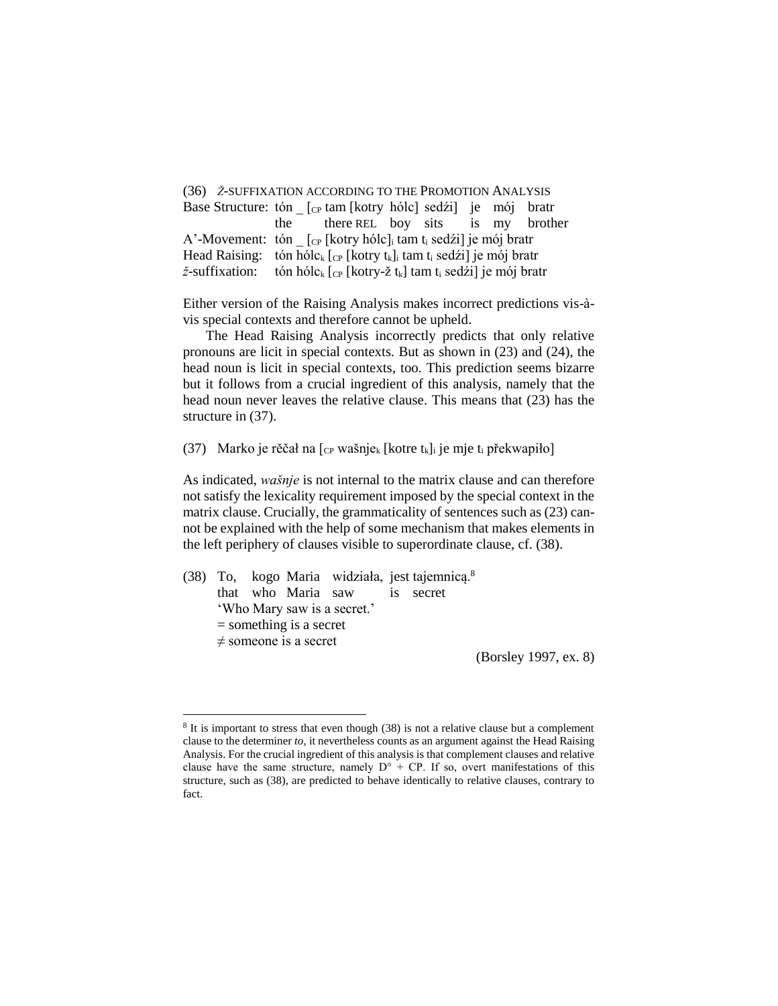(36) *Ž*-SUFFIXATION ACCORDING TO THE PROMOTION ANALYSIS Base Structure: tón  $\lceil c_P \tan \left[ \frac{k_I}{k_I} \right]$  sedźi] je mój bratr the there REL boy sits is my brother A'-Movement: tón  $\int_{\mathbb{C}P} [\text{kotry hólc}]_i \tan t_i \text{ sedźi}]$  je mój bratr Head Raising: tón hólc<sub>k</sub>  $[CP]$  [kotry t<sub>k</sub>]<sub>i</sub> tam t<sub>i</sub> sedźi] je mój bratr  $\check{z}$ -suffixation: tón hólc<sub>k</sub>  $[$ <sub>CP</sub> [kotry-ž t<sub>k</sub>] tam t<sub>i</sub> sedźi] je mój bratr

Either version of the Raising Analysis makes incorrect predictions vis-àvis special contexts and therefore cannot be upheld.

The Head Raising Analysis incorrectly predicts that only relative pronouns are licit in special contexts. But as shown in (23) and (24), the head noun is licit in special contexts, too. This prediction seems bizarre but it follows from a crucial ingredient of this analysis, namely that the head noun never leaves the relative clause. This means that (23) has the structure in (37).

(37) Marko je rěčał na  $[$ <sub>CP</sub> wašnje<sub>k</sub> [kotre t<sub>k</sub>]<sub>i</sub> je mje t<sub>i</sub> překwapiło]

As indicated, *wašnje* is not internal to the matrix clause and can therefore not satisfy the lexicality requirement imposed by the special context in the matrix clause. Crucially, the grammaticality of sentences such as (23) cannot be explained with the help of some mechanism that makes elements in the left periphery of clauses visible to superordinate clause, cf. (38).

(38) To, kogo Maria widziała, jest tajemnicą.<sup>8</sup> that who Maria saw is secret 'Who Mary saw is a secret.' = something is a secret  $\neq$  someone is a secret

 $\overline{\phantom{a}}$ 

(Borsley 1997, ex. 8)

<sup>&</sup>lt;sup>8</sup> It is important to stress that even though (38) is not a relative clause but a complement clause to the determiner *to*, it nevertheless counts as an argument against the Head Raising Analysis. For the crucial ingredient of this analysis is that complement clauses and relative clause have the same structure, namely  $D^{\circ}$  + CP. If so, overt manifestations of this structure, such as (38), are predicted to behave identically to relative clauses, contrary to fact.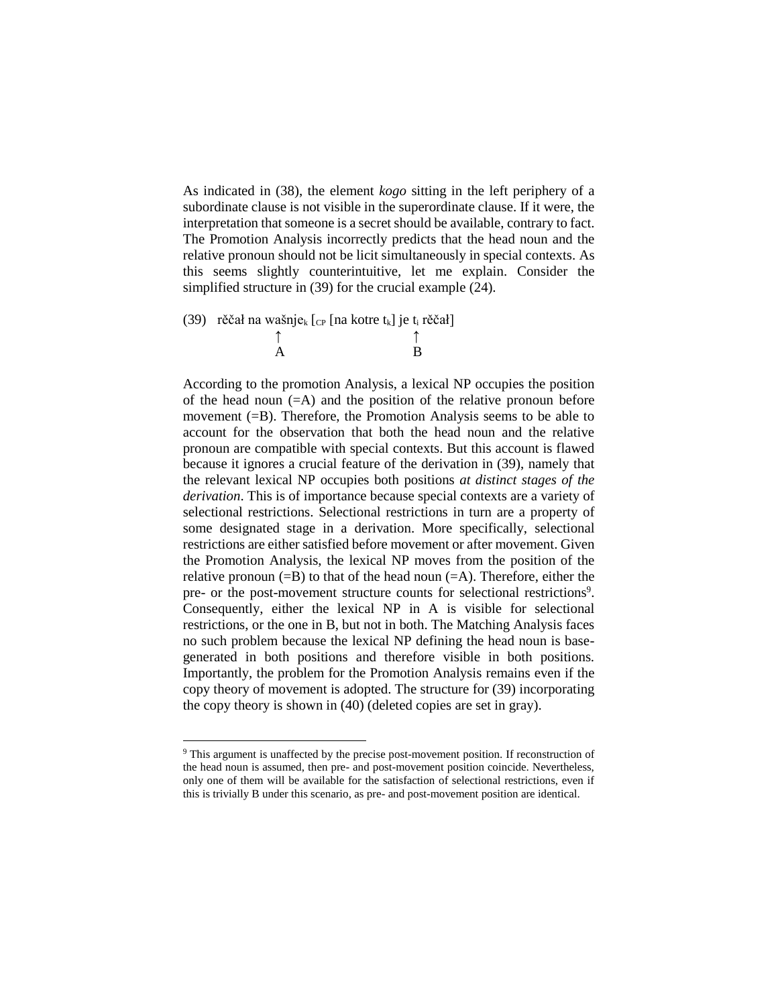As indicated in (38), the element *kogo* sitting in the left periphery of a subordinate clause is not visible in the superordinate clause. If it were, the interpretation that someone is a secret should be available, contrary to fact. The Promotion Analysis incorrectly predicts that the head noun and the relative pronoun should not be licit simultaneously in special contexts. As this seems slightly counterintuitive, let me explain. Consider the simplified structure in (39) for the crucial example (24).

(39) rěčał na wašnje<sub>k</sub>  $[_{CP}$  [na kotre t<sub>k</sub>] je t<sub>i</sub> rěčał] ↑ ↑

A B

According to the promotion Analysis, a lexical NP occupies the position of the head noun  $(=A)$  and the position of the relative pronoun before movement (=B). Therefore, the Promotion Analysis seems to be able to account for the observation that both the head noun and the relative pronoun are compatible with special contexts. But this account is flawed because it ignores a crucial feature of the derivation in (39), namely that the relevant lexical NP occupies both positions *at distinct stages of the derivation*. This is of importance because special contexts are a variety of selectional restrictions. Selectional restrictions in turn are a property of some designated stage in a derivation. More specifically, selectional restrictions are either satisfied before movement or after movement. Given the Promotion Analysis, the lexical NP moves from the position of the relative pronoun  $(=B)$  to that of the head noun  $(=A)$ . Therefore, either the pre- or the post-movement structure counts for selectional restrictions<sup>9</sup>. Consequently, either the lexical NP in A is visible for selectional restrictions, or the one in B, but not in both. The Matching Analysis faces no such problem because the lexical NP defining the head noun is basegenerated in both positions and therefore visible in both positions. Importantly, the problem for the Promotion Analysis remains even if the copy theory of movement is adopted. The structure for (39) incorporating the copy theory is shown in (40) (deleted copies are set in gray).

 $\overline{\phantom{a}}$ 

<sup>9</sup> This argument is unaffected by the precise post-movement position. If reconstruction of the head noun is assumed, then pre- and post-movement position coincide. Nevertheless, only one of them will be available for the satisfaction of selectional restrictions, even if this is trivially B under this scenario, as pre- and post-movement position are identical.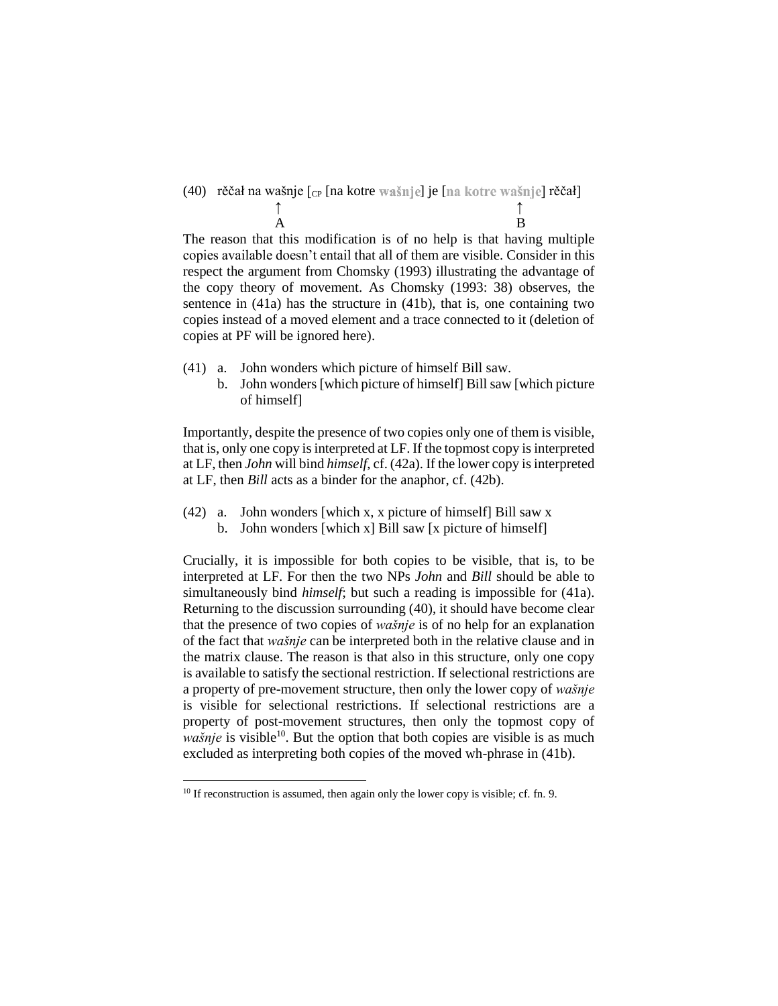(40) rěčał na wašnje [cp [na kotre wašnje] je [na kotre wašnje] rěčał] ↑ ↑ A B

The reason that this modification is of no help is that having multiple copies available doesn't entail that all of them are visible. Consider in this respect the argument from Chomsky (1993) illustrating the advantage of the copy theory of movement. As Chomsky (1993: 38) observes, the sentence in (41a) has the structure in (41b), that is, one containing two copies instead of a moved element and a trace connected to it (deletion of copies at PF will be ignored here).

- (41) a. John wonders which picture of himself Bill saw.
	- b. John wonders [which picture of himself] Bill saw [which picture of himself]

Importantly, despite the presence of two copies only one of them is visible, that is, only one copy is interpreted at LF. If the topmost copy is interpreted at LF, then *John* will bind *himself*, cf. (42a). If the lower copy is interpreted at LF, then *Bill* acts as a binder for the anaphor, cf. (42b).

(42) a. John wonders [which x, x picture of himself] Bill saw x b. John wonders [which x] Bill saw [x picture of himself]

Crucially, it is impossible for both copies to be visible, that is, to be interpreted at LF. For then the two NPs *John* and *Bill* should be able to simultaneously bind *himself*; but such a reading is impossible for (41a). Returning to the discussion surrounding (40), it should have become clear that the presence of two copies of *wašnje* is of no help for an explanation of the fact that *wašnje* can be interpreted both in the relative clause and in the matrix clause. The reason is that also in this structure, only one copy is available to satisfy the sectional restriction. If selectional restrictions are a property of pre-movement structure, then only the lower copy of *wašnje* is visible for selectional restrictions. If selectional restrictions are a property of post-movement structures, then only the topmost copy of *wašnje* is visible<sup>10</sup>. But the option that both copies are visible is as much excluded as interpreting both copies of the moved wh-phrase in (41b).

 $\overline{\phantom{a}}$ 

<sup>&</sup>lt;sup>10</sup> If reconstruction is assumed, then again only the lower copy is visible; cf. fn. 9.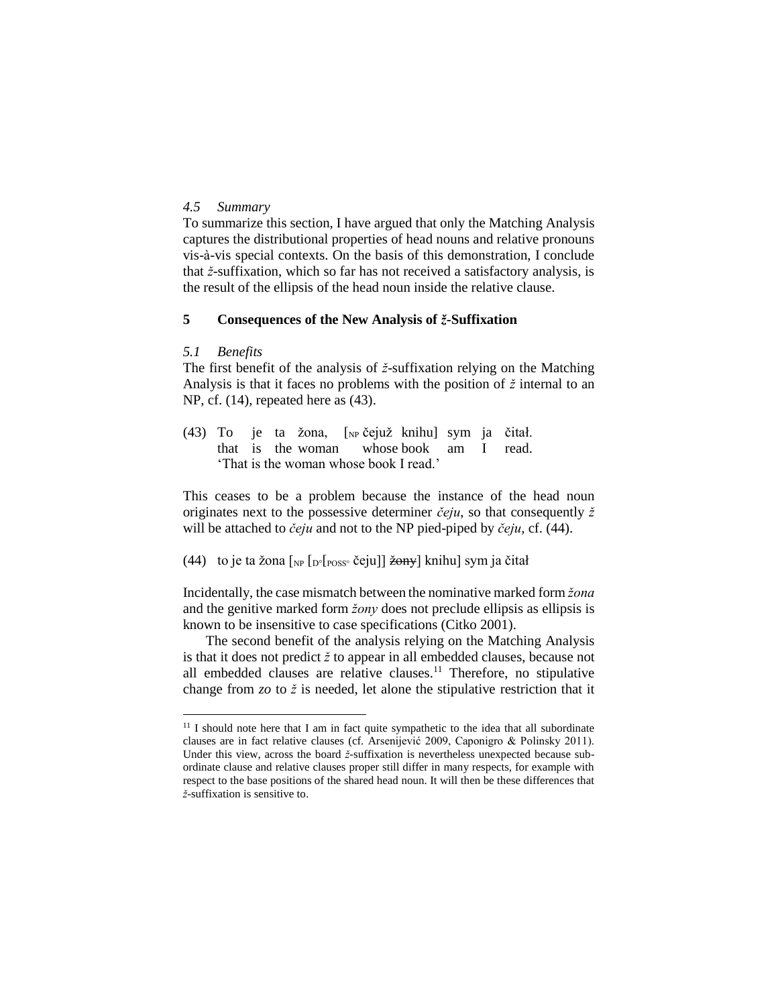#### *4.5 Summary*

To summarize this section, I have argued that only the Matching Analysis captures the distributional properties of head nouns and relative pronouns vis-à-vis special contexts. On the basis of this demonstration, I conclude that *ž*-suffixation, which so far has not received a satisfactory analysis, is the result of the ellipsis of the head noun inside the relative clause.

### **5 Consequences of the New Analysis of** *ž***-Suffixation**

#### *5.1 Benefits*

 $\overline{\phantom{a}}$ 

The first benefit of the analysis of *ž*-suffixation relying on the Matching Analysis is that it faces no problems with the position of *ž* internal to an NP, cf. (14), repeated here as (43).

(43) To je ta žona, [NP čejuž knihu] sym ja čitał. that is the woman whose book am I read. 'That is the woman whose book I read.'

This ceases to be a problem because the instance of the head noun originates next to the possessive determiner *čeju*, so that consequently *ž* will be attached to *čeju* and not to the NP pied-piped by *čeju*, cf. (44).

(44) to je ta žona  $\lceil_{NP} \lceil_{POS^{\circ}}$  čeju]] <del>žony</del>] knihu] sym ja čitał

Incidentally, the case mismatch between the nominative marked form *žona* and the genitive marked form *žony* does not preclude ellipsis as ellipsis is known to be insensitive to case specifications (Citko 2001).

The second benefit of the analysis relying on the Matching Analysis is that it does not predict *ž* to appear in all embedded clauses, because not all embedded clauses are relative clauses.<sup>11</sup> Therefore, no stipulative change from *zo* to *ž* is needed, let alone the stipulative restriction that it

 $11$  I should note here that I am in fact quite sympathetic to the idea that all subordinate clauses are in fact relative clauses (cf. Arsenijević 2009, Caponigro & Polinsky 2011). Under this view, across the board *ž*-suffixation is nevertheless unexpected because subordinate clause and relative clauses proper still differ in many respects, for example with respect to the base positions of the shared head noun. It will then be these differences that *ž*-suffixation is sensitive to.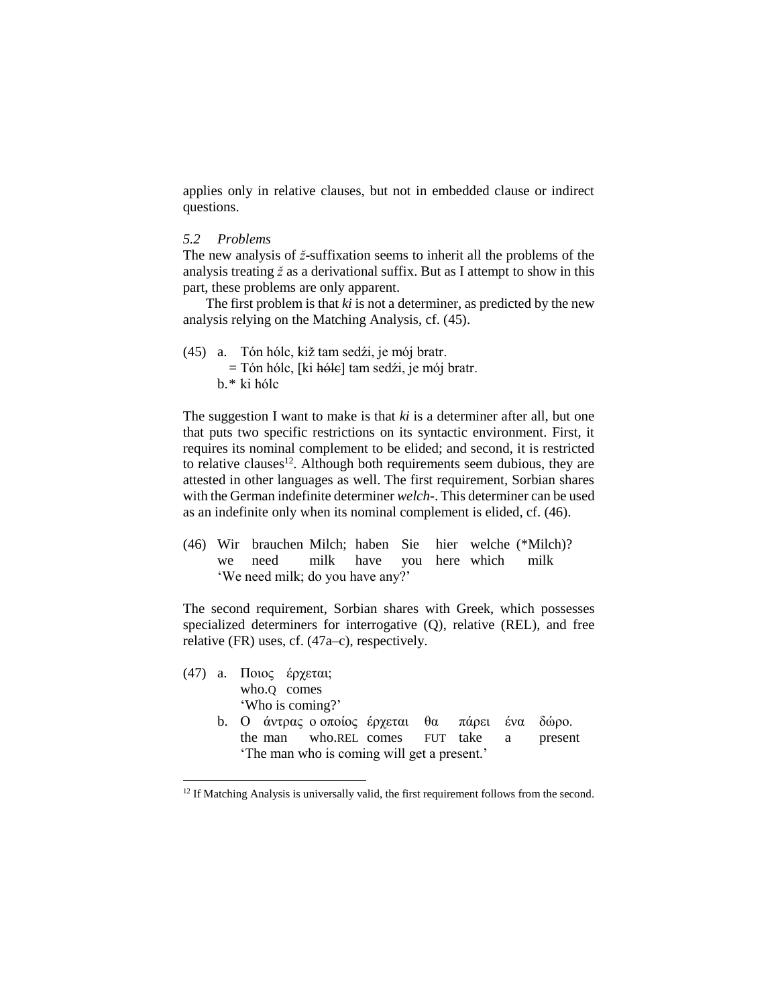applies only in relative clauses, but not in embedded clause or indirect questions.

## *5.2 Problems*

 $\overline{\phantom{a}}$ 

The new analysis of *ž*-suffixation seems to inherit all the problems of the analysis treating *ž* as a derivational suffix. But as I attempt to show in this part, these problems are only apparent.

The first problem is that *ki* is not a determiner, as predicted by the new analysis relying on the Matching Analysis, cf. (45).

(45) a. Tón hólc, kiž tam sedźi, je mój bratr.  $=$  Tón hólc, [ki h<del>óle</del>] tam sedźi, je mój bratr. b.\* ki hólc

The suggestion I want to make is that *ki* is a determiner after all, but one that puts two specific restrictions on its syntactic environment. First, it requires its nominal complement to be elided; and second, it is restricted to relative clauses<sup>12</sup>. Although both requirements seem dubious, they are attested in other languages as well. The first requirement, Sorbian shares with the German indefinite determiner *welch-*. This determiner can be used as an indefinite only when its nominal complement is elided, cf. (46).

(46) Wir brauchen Milch; haben Sie hier welche (\*Milch)? we need milk have you here which milk 'We need milk; do you have any?'

The second requirement, Sorbian shares with Greek, which possesses specialized determiners for interrogative (Q), relative (REL), and free relative (FR) uses, cf. (47a–c), respectively.

(47) a. Ποιος έρχεται; who.Q comes 'Who is coming?' b. Ο άντρας ο οποίος έρχεται θα πάρει ένα δώρο. the man who.REL comes FUT take a present 'The man who is coming will get a present.'

<sup>&</sup>lt;sup>12</sup> If Matching Analysis is universally valid, the first requirement follows from the second.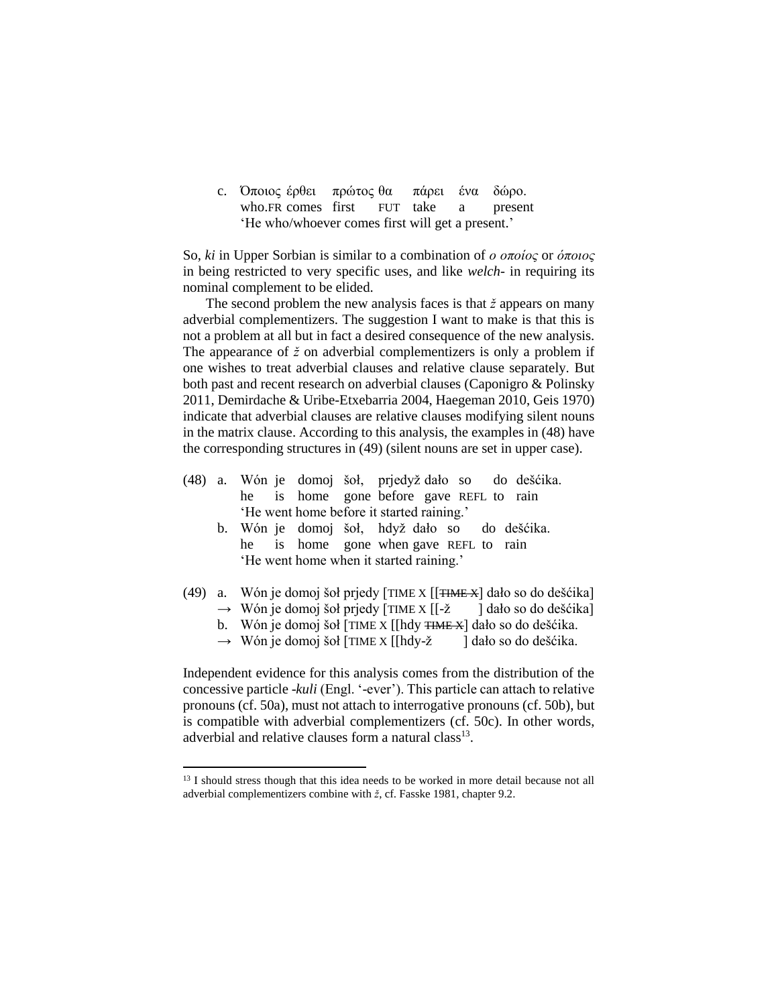c. Όποιος έρθει πρώτος θα πάρει ένα δώρο. who.FR comes first FUT take a present 'Ηe who/whoever comes first will get a present.'

So, *ki* in Upper Sorbian is similar to a combination of *ο οποίος* or *όποιος* in being restricted to very specific uses, and like *welch-* in requiring its nominal complement to be elided.

The second problem the new analysis faces is that *ž* appears on many adverbial complementizers. The suggestion I want to make is that this is not a problem at all but in fact a desired consequence of the new analysis. The appearance of *ž* on adverbial complementizers is only a problem if one wishes to treat adverbial clauses and relative clause separately. But both past and recent research on adverbial clauses (Caponigro & Polinsky 2011, Demirdache & Uribe-Etxebarria 2004, Haegeman 2010, Geis 1970) indicate that adverbial clauses are relative clauses modifying silent nouns in the matrix clause. According to this analysis, the examples in (48) have the corresponding structures in (49) (silent nouns are set in upper case).

- (48) a. Wón je domoj šoł, prjedyž dało so do dešćika. he is home gone before gave REFL to rain 'He went home before it started raining.'
	- b. Wón je domoj šoł, hdyž dało so do dešćika. he is home gone when gave REFL to rain 'He went home when it started raining.'
- (49) a. Wón je domoj šoł prjedy [TIME X  $[[\overline{\text{TIME } } X]$  dało so do dešćika]
	- $\rightarrow$  Wón je domoj šoł prjedy [TIME X [[-ž ] dało so do dešćika]
	- b. Wón je domoj šoł [TIME X [[hdy <del>TIME X</del>] dało so do dešćika.
	- $\rightarrow$  Wón je domoj šoł [TIME X [[hdy-ž ] dało so do dešćika.

Independent evidence for this analysis comes from the distribution of the concessive particle -*kuli* (Engl. '-ever'). This particle can attach to relative pronouns (cf. 50a), must not attach to interrogative pronouns (cf. 50b), but is compatible with adverbial complementizers (cf. 50c). In other words, adverbial and relative clauses form a natural class<sup>13</sup>.

l

<sup>&</sup>lt;sup>13</sup> I should stress though that this idea needs to be worked in more detail because not all adverbial complementizers combine with *ž*, cf. Fasske 1981, chapter 9.2.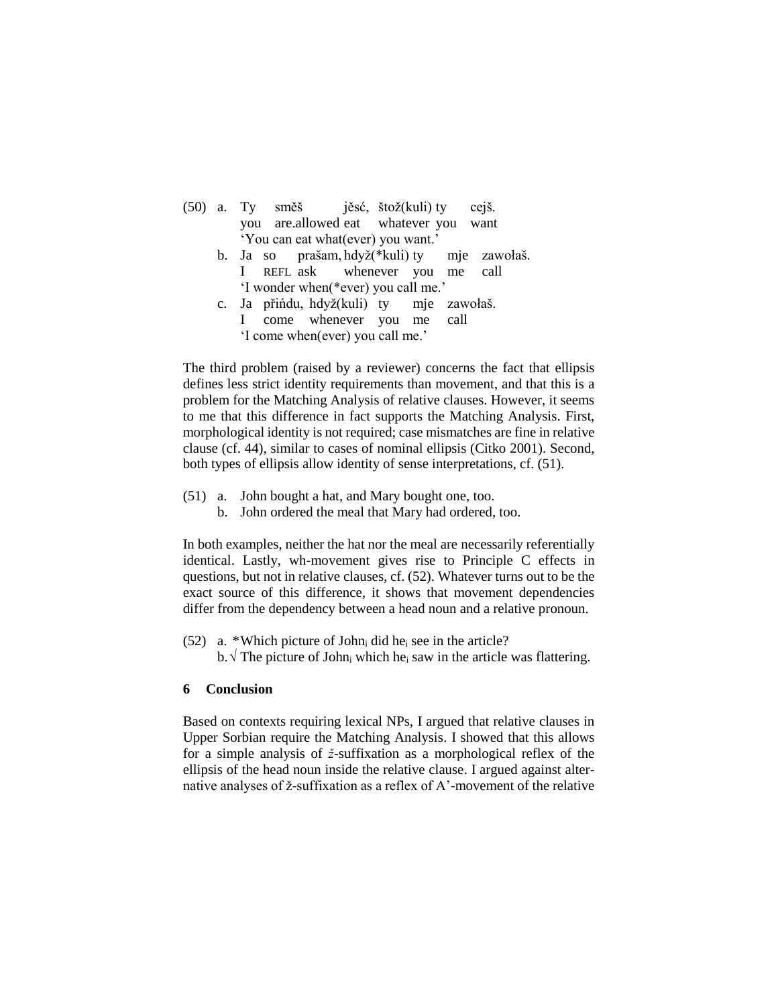|  |                                     | (50) a. Ty směš jěsć, štož(kuli) ty cejš.                                                                                  |  |
|--|-------------------------------------|----------------------------------------------------------------------------------------------------------------------------|--|
|  |                                     | you are allowed eat whatever you want                                                                                      |  |
|  | 'You can eat what (ever) you want.' |                                                                                                                            |  |
|  |                                     | $I_2 = 22$ $\ldots$ $I_4 = \frac{1}{2}$ $\frac{1}{2}$ $\frac{1}{2}$ $\frac{1}{2}$ $\frac{1}{2}$ $\ldots$ $\ldots$ $\ldots$ |  |

- b. Ja so prašam, hdyž(\*kuli) ty mje zawołaš. I REFL ask whenever you me call 'I wonder when(\*ever) you call me.'
- c. Ja přińdu, hdyž(kuli) ty mje zawołaš. I come whenever you me call 'I come when(ever) you call me.'

The third problem (raised by a reviewer) concerns the fact that ellipsis defines less strict identity requirements than movement, and that this is a problem for the Matching Analysis of relative clauses. However, it seems to me that this difference in fact supports the Matching Analysis. First, morphological identity is not required; case mismatches are fine in relative clause (cf. 44), similar to cases of nominal ellipsis (Citko 2001). Second, both types of ellipsis allow identity of sense interpretations, cf. (51).

- (51) a. John bought a hat, and Mary bought one, too.
	- b. John ordered the meal that Mary had ordered, too.

In both examples, neither the hat nor the meal are necessarily referentially identical. Lastly, wh-movement gives rise to Principle C effects in questions, but not in relative clauses, cf. (52). Whatever turns out to be the exact source of this difference, it shows that movement dependencies differ from the dependency between a head noun and a relative pronoun.

(52) a. \*Which picture of John<sub>i</sub> did he<sub>i</sub> see in the article? b.  $\sqrt{T}$  The picture of John<sub>i</sub> which he<sub>i</sub> saw in the article was flattering.

## **6 Conclusion**

Based on contexts requiring lexical NPs, I argued that relative clauses in Upper Sorbian require the Matching Analysis. I showed that this allows for a simple analysis of *ž*-suffixation as a morphological reflex of the ellipsis of the head noun inside the relative clause. I argued against alternative analyses of ž-suffixation as a reflex of A'-movement of the relative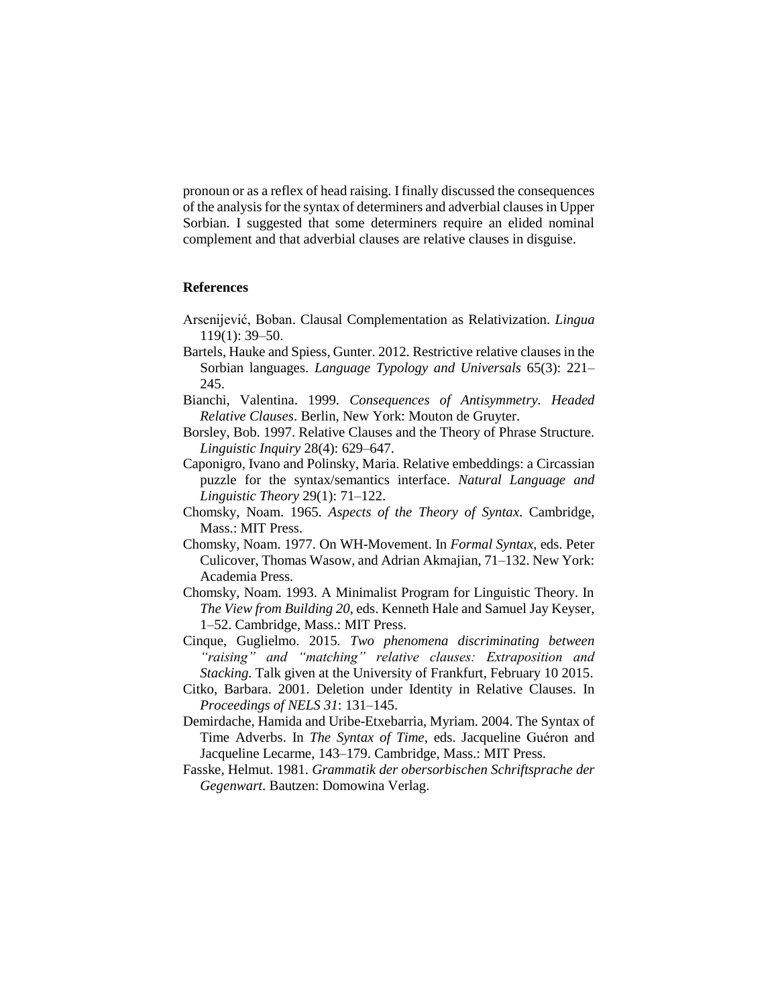pronoun or as a reflex of head raising. I finally discussed the consequences of the analysis for the syntax of determiners and adverbial clauses in Upper Sorbian. I suggested that some determiners require an elided nominal complement and that adverbial clauses are relative clauses in disguise.

### **References**

- Arsenijević, Boban. Clausal Complementation as Relativization. *Lingua* 119(1): 39–50.
- Bartels, Hauke and Spiess, Gunter. 2012. Restrictive relative clauses in the Sorbian languages. *Language Typology and Universals* 65(3): 221– 245.
- Bianchi, Valentina. 1999. *Consequences of Antisymmetry. Headed Relative Clauses*. Berlin, New York: Mouton de Gruyter.
- Borsley, Bob. 1997. Relative Clauses and the Theory of Phrase Structure. *Linguistic Inquiry* 28(4): 629–647.
- Caponigro, Ivano and Polinsky, Maria. Relative embeddings: a Circassian puzzle for the syntax/semantics interface. *Natural Language and Linguistic Theory* 29(1): 71–122.
- Chomsky, Noam. 1965. *Aspects of the Theory of Syntax*. Cambridge, Mass.: MIT Press.
- Chomsky, Noam. 1977. On WH-Movement. In *Formal Syntax*, eds. Peter Culicover, Thomas Wasow, and Adrian Akmajian, 71–132. New York: Academia Press.
- Chomsky, Noam. 1993. A Minimalist Program for Linguistic Theory. In *The View from Building 20*, eds. Kenneth Hale and Samuel Jay Keyser, 1–52. Cambridge, Mass.: MIT Press.
- Cinque, Guglielmo. 2015. *Two phenomena discriminating between "raising" and "matching" relative clauses: Extraposition and Stacking*. Talk given at the University of Frankfurt, February 10 2015.
- Citko, Barbara. 2001. Deletion under Identity in Relative Clauses. In *Proceedings of NELS 31*: 131–145.
- Demirdache, Hamida and Uribe-Etxebarria, Myriam. 2004. The Syntax of Time Adverbs. In *The Syntax of Time*, eds. Jacqueline Guéron and Jacqueline Lecarme, 143–179. Cambridge, Mass.: MIT Press.
- Fasske, Helmut. 1981. *Grammatik der obersorbischen Schriftsprache der Gegenwart*. Bautzen: Domowina Verlag.